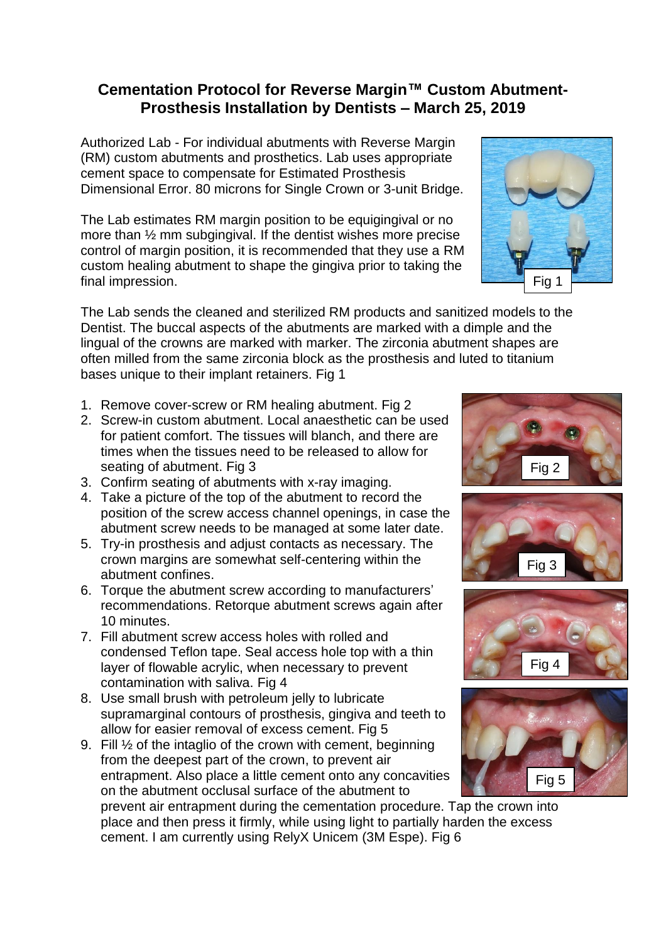## **Cementation Protocol for Reverse Margin™ Custom Abutment-Prosthesis Installation by Dentists – March 25, 2019**

Authorized Lab - For individual abutments with Reverse Margin (RM) custom abutments and prosthetics. Lab uses appropriate cement space to compensate for Estimated Prosthesis Dimensional Error. 80 microns for Single Crown or 3-unit Bridge.

The Lab estimates RM margin position to be equigingival or no more than ½ mm subgingival. If the dentist wishes more precise control of margin position, it is recommended that they use a RM custom healing abutment to shape the gingiva prior to taking the final impression.



The Lab sends the cleaned and sterilized RM products and sanitized models to the Dentist. The buccal aspects of the abutments are marked with a dimple and the lingual of the crowns are marked with marker. The zirconia abutment shapes are often milled from the same zirconia block as the prosthesis and luted to titanium bases unique to their implant retainers. Fig 1

- 1. Remove cover-screw or RM healing abutment. Fig 2
- 2. Screw-in custom abutment. Local anaesthetic can be used for patient comfort. The tissues will blanch, and there are times when the tissues need to be released to allow for seating of abutment. Fig 3
- 3. Confirm seating of abutments with x-ray imaging.
- 4. Take a picture of the top of the abutment to record the position of the screw access channel openings, in case the abutment screw needs to be managed at some later date.
- 5. Try-in prosthesis and adjust contacts as necessary. The crown margins are somewhat self-centering within the abutment confines.
- 6. Torque the abutment screw according to manufacturers' recommendations. Retorque abutment screws again after 10 minutes.
- 7. Fill abutment screw access holes with rolled and condensed Teflon tape. Seal access hole top with a thin layer of flowable acrylic, when necessary to prevent contamination with saliva. Fig 4
- 8. Use small brush with petroleum jelly to lubricate supramarginal contours of prosthesis, gingiva and teeth to allow for easier removal of excess cement. Fig 5
- 9. Fill ½ of the intaglio of the crown with cement, beginning from the deepest part of the crown, to prevent air entrapment. Also place a little cement onto any concavities on the abutment occlusal surface of the abutment to

prevent air entrapment during the cementation procedure. Tap the crown into place and then press it firmly, while using light to partially harden the excess cement. I am currently using RelyX Unicem (3M Espe). Fig 6